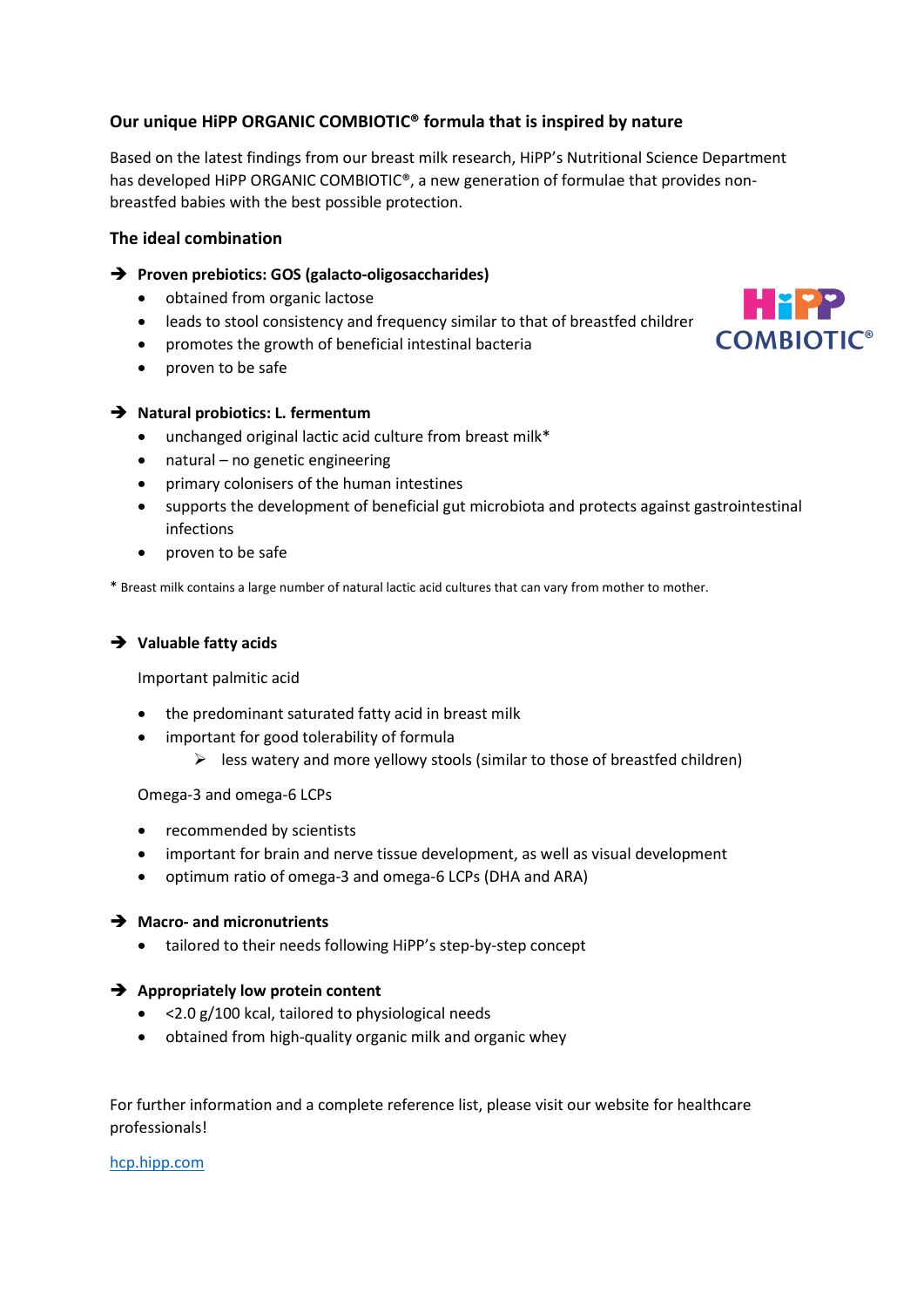# Our unique HiPP ORGANIC COMBIOTIC® formula that is inspired by nature

Based on the latest findings from our breast milk research, HiPP's Nutritional Science Department has developed HiPP ORGANIC COMBIOTIC®, a new generation of formulae that provides nonbreastfed babies with the best possible protection.

## The ideal combination

## → Proven prebiotics: GOS (galacto-oligosaccharides)

- obtained from organic lactose
- leads to stool consistency and frequency similar to that of breastfed children
- promotes the growth of beneficial intestinal bacteria
- proven to be safe

## $\rightarrow$  Natural probiotics: L. fermentum

- unchanged original lactic acid culture from breast milk\*
- natural no genetic engineering
- primary colonisers of the human intestines
- supports the development of beneficial gut microbiota and protects against gastrointestinal infections

Hitler

**COMBIOTIC<sup>®</sup>** 

• proven to be safe

\* Breast milk contains a large number of natural lactic acid cultures that can vary from mother to mother.

## $\rightarrow$  Valuable fatty acids

Important palmitic acid

- the predominant saturated fatty acid in breast milk
- important for good tolerability of formula
	- $\triangleright$  less watery and more yellowy stools (similar to those of breastfed children)

Omega-3 and omega-6 LCPs

- recommended by scientists
- important for brain and nerve tissue development, as well as visual development
- optimum ratio of omega-3 and omega-6 LCPs (DHA and ARA)

#### $\rightarrow$  Macro- and micronutrients

tailored to their needs following HiPP's step-by-step concept

#### $\rightarrow$  Appropriately low protein content

- <2.0 g/100 kcal, tailored to physiological needs
- obtained from high-quality organic milk and organic whey

For further information and a complete reference list, please visit our website for healthcare professionals!

hcp.hipp.com